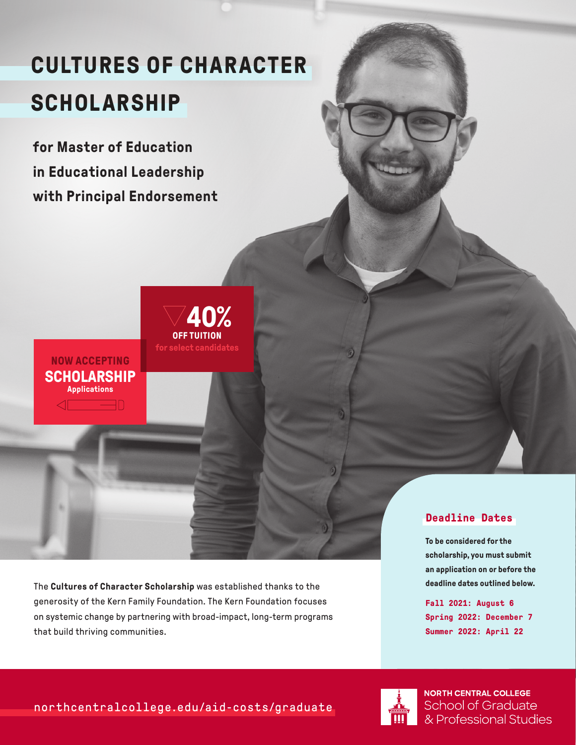## **CULTURES OF CHARACTER SCHOLARSHIP**

**for Master of Education in Educational Leadership with Principal Endorsement** 

**SCHOLARSHIP Applications**

 $\sqrt{2}$ 

**NOW ACCEPTING**

**for select candidates OFF TUITION 40%**

The **Cultures of Character Scholarship** was established thanks to the generosity of the Kern Family Foundation. The Kern Foundation focuses on systemic change by partnering with broad-impact, long-term programs that build thriving communities.

## **Deadline Dates**

**To be considered for the scholarship, you must submit an application on or before the deadline dates outlined below.**

**Fall 2021: August 6 Spring 2022: December 7 Summer 2022: April 22**



**NORTH CENTRAL COLLEGE School of Graduate** & Professional Studies